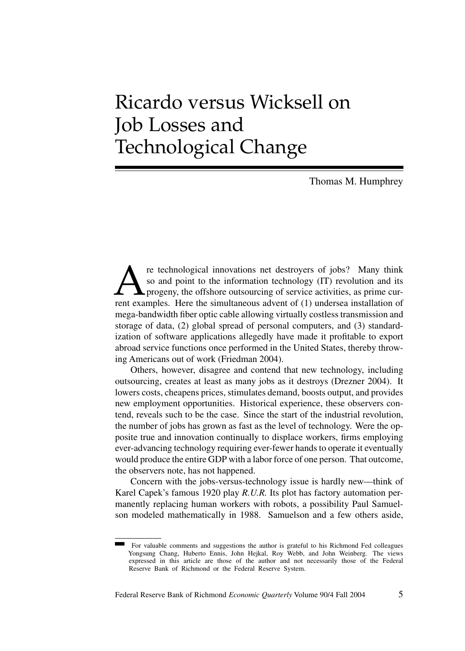# Ricardo versus Wicksell on Job Losses and Technological Change

Thomas M. Humphrey

**A** re technological innovations net destroyers of jobs? Many think so and point to the information technology (IT) revolution and its progeny, the offshore outsourcing of service activities, as prime current examples. Her so and point to the information technology (IT) revolution and its progeny, the offshore outsourcing of service activities, as prime current examples. Here the simultaneous advent of (1) undersea installation of mega-bandwidth fiber optic cable allowing virtually costless transmission and storage of data, (2) global spread of personal computers, and (3) standardization of software applications allegedly have made it profitable to export abroad service functions once performed in the United States, thereby throwing Americans out of work (Friedman 2004).

Others, however, disagree and contend that new technology, including outsourcing, creates at least as many jobs as it destroys (Drezner 2004). It lowers costs, cheapens prices, stimulates demand, boosts output, and provides new employment opportunities. Historical experience, these observers contend, reveals such to be the case. Since the start of the industrial revolution, the number of jobs has grown as fast as the level of technology. Were the opposite true and innovation continually to displace workers, firms employing ever-advancing technology requiring ever-fewer hands to operate it eventually would produce the entire GDP with a labor force of one person. That outcome, the observers note, has not happened.

Concern with the jobs-versus-technology issue is hardly new—think of Karel Capek's famous 1920 play *R.U.R.* Its plot has factory automation permanently replacing human workers with robots, a possibility Paul Samuelson modeled mathematically in 1988. Samuelson and a few others aside,

For valuable comments and suggestions the author is grateful to his Richmond Fed colleagues Yongsung Chang, Huberto Ennis, John Hejkal, Roy Webb, and John Weinberg. The views expressed in this article are those of the author and not necessarily those of the Federal Reserve Bank of Richmond or the Federal Reserve System.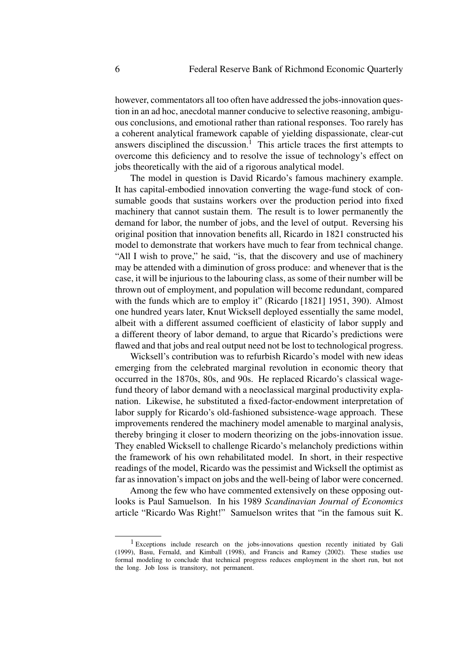however, commentators all too often have addressed the jobs-innovation question in an ad hoc, anecdotal manner conducive to selective reasoning, ambiguous conclusions, and emotional rather than rational responses. Too rarely has a coherent analytical framework capable of yielding dispassionate, clear-cut answers disciplined the discussion.<sup>1</sup> This article traces the first attempts to overcome this deficiency and to resolve the issue of technology's effect on jobs theoretically with the aid of a rigorous analytical model.

The model in question is David Ricardo's famous machinery example. It has capital-embodied innovation converting the wage-fund stock of consumable goods that sustains workers over the production period into fixed machinery that cannot sustain them. The result is to lower permanently the demand for labor, the number of jobs, and the level of output. Reversing his original position that innovation benefits all, Ricardo in 1821 constructed his model to demonstrate that workers have much to fear from technical change. "All I wish to prove," he said, "is, that the discovery and use of machinery may be attended with a diminution of gross produce: and whenever that is the case, it will be injurious to the labouring class, as some of their number will be thrown out of employment, and population will become redundant, compared with the funds which are to employ it" (Ricardo [1821] 1951, 390). Almost one hundred years later, Knut Wicksell deployed essentially the same model, albeit with a different assumed coefficient of elasticity of labor supply and a different theory of labor demand, to argue that Ricardo's predictions were flawed and that jobs and real output need not be lost to technological progress.

Wicksell's contribution was to refurbish Ricardo's model with new ideas emerging from the celebrated marginal revolution in economic theory that occurred in the 1870s, 80s, and 90s. He replaced Ricardo's classical wagefund theory of labor demand with a neoclassical marginal productivity explanation. Likewise, he substituted a fixed-factor-endowment interpretation of labor supply for Ricardo's old-fashioned subsistence-wage approach. These improvements rendered the machinery model amenable to marginal analysis, thereby bringing it closer to modern theorizing on the jobs-innovation issue. They enabled Wicksell to challenge Ricardo's melancholy predictions within the framework of his own rehabilitated model. In short, in their respective readings of the model, Ricardo was the pessimist and Wicksell the optimist as far as innovation's impact on jobs and the well-being of labor were concerned.

Among the few who have commented extensively on these opposing outlooks is Paul Samuelson. In his 1989 *Scandinavian Journal of Economics* article "Ricardo Was Right!" Samuelson writes that "in the famous suit K.

<sup>&</sup>lt;sup>1</sup> Exceptions include research on the jobs-innovations question recently initiated by Gali (1999), Basu, Fernald, and Kimball (1998), and Francis and Ramey (2002). These studies use formal modeling to conclude that technical progress reduces employment in the short run, but not the long. Job loss is transitory, not permanent.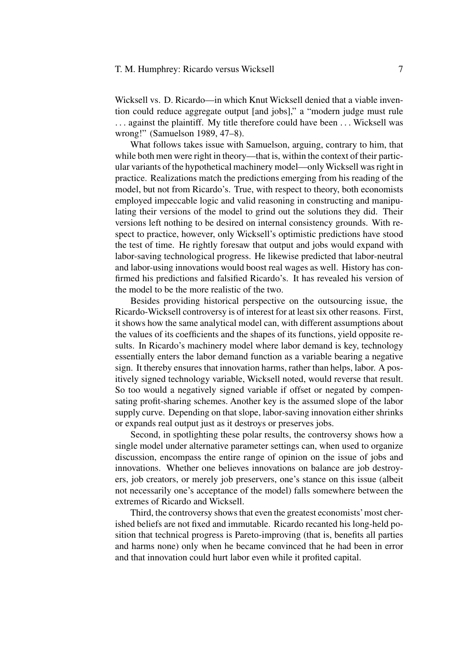# T. M. Humphrey: Ricardo versus Wicksell 7

Wicksell vs. D. Ricardo—in which Knut Wicksell denied that a viable invention could reduce aggregate output [and jobs]," a "modern judge must rule ... against the plaintiff. My title therefore could have been ... Wicksell was wrong!" (Samuelson 1989, 47–8).

What follows takes issue with Samuelson, arguing, contrary to him, that while both men were right in theory—that is, within the context of their particular variants of the hypothetical machinery model—onlyWicksell was right in practice. Realizations match the predictions emerging from his reading of the model, but not from Ricardo's. True, with respect to theory, both economists employed impeccable logic and valid reasoning in constructing and manipulating their versions of the model to grind out the solutions they did. Their versions left nothing to be desired on internal consistency grounds. With respect to practice, however, only Wicksell's optimistic predictions have stood the test of time. He rightly foresaw that output and jobs would expand with labor-saving technological progress. He likewise predicted that labor-neutral and labor-using innovations would boost real wages as well. History has confirmed his predictions and falsified Ricardo's. It has revealed his version of the model to be the more realistic of the two.

Besides providing historical perspective on the outsourcing issue, the Ricardo-Wicksell controversy is of interest for at least six other reasons. First, it shows how the same analytical model can, with different assumptions about the values of its coefficients and the shapes of its functions, yield opposite results. In Ricardo's machinery model where labor demand is key, technology essentially enters the labor demand function as a variable bearing a negative sign. It thereby ensures that innovation harms, rather than helps, labor. A positively signed technology variable, Wicksell noted, would reverse that result. So too would a negatively signed variable if offset or negated by compensating profit-sharing schemes. Another key is the assumed slope of the labor supply curve. Depending on that slope, labor-saving innovation either shrinks or expands real output just as it destroys or preserves jobs.

Second, in spotlighting these polar results, the controversy shows how a single model under alternative parameter settings can, when used to organize discussion, encompass the entire range of opinion on the issue of jobs and innovations. Whether one believes innovations on balance are job destroyers, job creators, or merely job preservers, one's stance on this issue (albeit not necessarily one's acceptance of the model) falls somewhere between the extremes of Ricardo and Wicksell.

Third, the controversy shows that even the greatest economists'most cherished beliefs are not fixed and immutable. Ricardo recanted his long-held position that technical progress is Pareto-improving (that is, benefits all parties and harms none) only when he became convinced that he had been in error and that innovation could hurt labor even while it profited capital.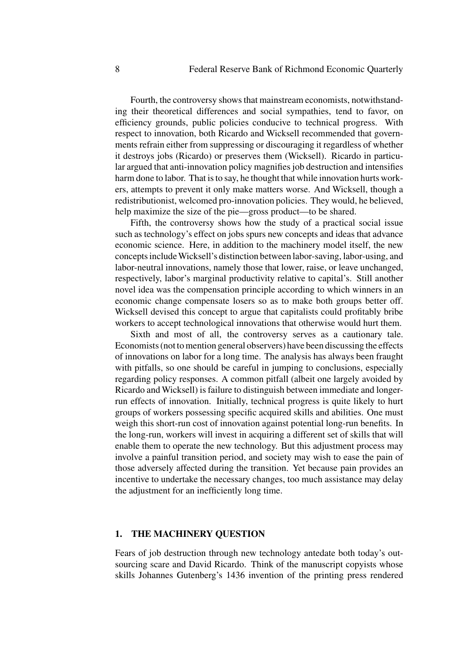Fourth, the controversy shows that mainstream economists, notwithstanding their theoretical differences and social sympathies, tend to favor, on efficiency grounds, public policies conducive to technical progress. With respect to innovation, both Ricardo and Wicksell recommended that governments refrain either from suppressing or discouraging it regardless of whether it destroys jobs (Ricardo) or preserves them (Wicksell). Ricardo in particular argued that anti-innovation policy magnifies job destruction and intensifies harm done to labor. That is to say, he thought that while innovation hurts workers, attempts to prevent it only make matters worse. And Wicksell, though a redistributionist, welcomed pro-innovation policies. They would, he believed, help maximize the size of the pie—gross product—to be shared.

Fifth, the controversy shows how the study of a practical social issue such as technology's effect on jobs spurs new concepts and ideas that advance economic science. Here, in addition to the machinery model itself, the new concepts includeWicksell's distinction between labor-saving, labor-using, and labor-neutral innovations, namely those that lower, raise, or leave unchanged, respectively, labor's marginal productivity relative to capital's. Still another novel idea was the compensation principle according to which winners in an economic change compensate losers so as to make both groups better off. Wicksell devised this concept to argue that capitalists could profitably bribe workers to accept technological innovations that otherwise would hurt them.

Sixth and most of all, the controversy serves as a cautionary tale. Economists (not to mention general observers) have been discussing the effects of innovations on labor for a long time. The analysis has always been fraught with pitfalls, so one should be careful in jumping to conclusions, especially regarding policy responses. A common pitfall (albeit one largely avoided by Ricardo and Wicksell) is failure to distinguish between immediate and longerrun effects of innovation. Initially, technical progress is quite likely to hurt groups of workers possessing specific acquired skills and abilities. One must weigh this short-run cost of innovation against potential long-run benefits. In the long-run, workers will invest in acquiring a different set of skills that will enable them to operate the new technology. But this adjustment process may involve a painful transition period, and society may wish to ease the pain of those adversely affected during the transition. Yet because pain provides an incentive to undertake the necessary changes, too much assistance may delay the adjustment for an inefficiently long time.

#### **1. THE MACHINERY QUESTION**

Fears of job destruction through new technology antedate both today's outsourcing scare and David Ricardo. Think of the manuscript copyists whose skills Johannes Gutenberg's 1436 invention of the printing press rendered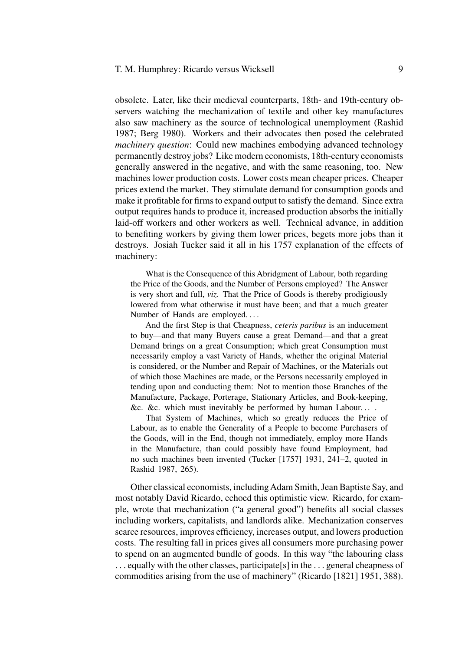obsolete. Later, like their medieval counterparts, 18th- and 19th-century observers watching the mechanization of textile and other key manufactures also saw machinery as the source of technological unemployment (Rashid 1987; Berg 1980). Workers and their advocates then posed the celebrated *machinery question*: Could new machines embodying advanced technology permanently destroy jobs? Like modern economists, 18th-century economists generally answered in the negative, and with the same reasoning, too. New machines lower production costs. Lower costs mean cheaper prices. Cheaper prices extend the market. They stimulate demand for consumption goods and make it profitable for firms to expand output to satisfy the demand. Since extra output requires hands to produce it, increased production absorbs the initially laid-off workers and other workers as well. Technical advance, in addition to benefiting workers by giving them lower prices, begets more jobs than it destroys. Josiah Tucker said it all in his 1757 explanation of the effects of machinery:

What is the Consequence of this Abridgment of Labour, both regarding the Price of the Goods, and the Number of Persons employed? The Answer is very short and full, *viz*. That the Price of Goods is thereby prodigiously lowered from what otherwise it must have been; and that a much greater Number of Hands are employed. ...

And the first Step is that Cheapness, *ceteris paribus* is an inducement to buy—and that many Buyers cause a great Demand—and that a great Demand brings on a great Consumption; which great Consumption must necessarily employ a vast Variety of Hands, whether the original Material is considered, or the Number and Repair of Machines, or the Materials out of which those Machines are made, or the Persons necessarily employed in tending upon and conducting them: Not to mention those Branches of the Manufacture, Package, Porterage, Stationary Articles, and Book-keeping, &c. &c. which must inevitably be performed by human Labour. . . .

That System of Machines, which so greatly reduces the Price of Labour, as to enable the Generality of a People to become Purchasers of the Goods, will in the End, though not immediately, employ more Hands in the Manufacture, than could possibly have found Employment, had no such machines been invented (Tucker [1757] 1931, 241–2, quoted in Rashid 1987, 265).

Other classical economists, including Adam Smith, Jean Baptiste Say, and most notably David Ricardo, echoed this optimistic view. Ricardo, for example, wrote that mechanization ("a general good") benefits all social classes including workers, capitalists, and landlords alike. Mechanization conserves scarce resources, improves efficiency, increases output, and lowers production costs. The resulting fall in prices gives all consumers more purchasing power to spend on an augmented bundle of goods. In this way "the labouring class ... equally with the other classes, participate[s] in the ... general cheapness of commodities arising from the use of machinery" (Ricardo [1821] 1951, 388).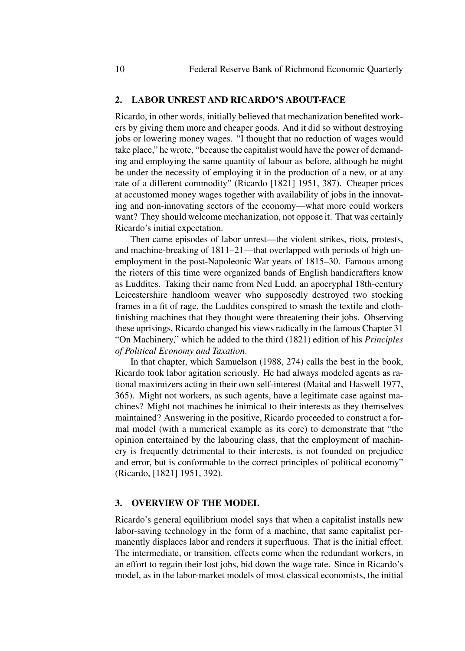#### **2. LABOR UNREST AND RICARDO'S ABOUT-FACE**

Ricardo, in other words, initially believed that mechanization benefited workers by giving them more and cheaper goods. And it did so without destroying jobs or lowering money wages. "I thought that no reduction of wages would take place," he wrote, "because the capitalist would have the power of demanding and employing the same quantity of labour as before, although he might be under the necessity of employing it in the production of a new, or at any rate of a different commodity" (Ricardo [1821] 1951, 387). Cheaper prices at accustomed money wages together with availability of jobs in the innovating and non-innovating sectors of the economy—what more could workers want? They should welcome mechanization, not oppose it. That was certainly Ricardo's initial expectation.

Then came episodes of labor unrest—the violent strikes, riots, protests, and machine-breaking of 1811–21—that overlapped with periods of high unemployment in the post-Napoleonic War years of 1815–30. Famous among the rioters of this time were organized bands of English handicrafters know as Luddites. Taking their name from Ned Ludd, an apocryphal 18th-century Leicestershire handloom weaver who supposedly destroyed two stocking frames in a fit of rage, the Luddites conspired to smash the textile and clothfinishing machines that they thought were threatening their jobs. Observing these uprisings, Ricardo changed his views radically in the famous Chapter 31 "On Machinery," which he added to the third (1821) edition of his *Principles of Political Economy and Taxation*.

In that chapter, which Samuelson (1988, 274) calls the best in the book, Ricardo took labor agitation seriously. He had always modeled agents as rational maximizers acting in their own self-interest (Maital and Haswell 1977, 365). Might not workers, as such agents, have a legitimate case against machines? Might not machines be inimical to their interests as they themselves maintained? Answering in the positive, Ricardo proceeded to construct a formal model (with a numerical example as its core) to demonstrate that "the opinion entertained by the labouring class, that the employment of machinery is frequently detrimental to their interests, is not founded on prejudice and error, but is conformable to the correct principles of political economy" (Ricardo, [1821] 1951, 392).

#### **3. OVERVIEW OF THE MODEL**

Ricardo's general equilibrium model says that when a capitalist installs new labor-saving technology in the form of a machine, that same capitalist permanently displaces labor and renders it superfluous. That is the initial effect. The intermediate, or transition, effects come when the redundant workers, in an effort to regain their lost jobs, bid down the wage rate. Since in Ricardo's model, as in the labor-market models of most classical economists, the initial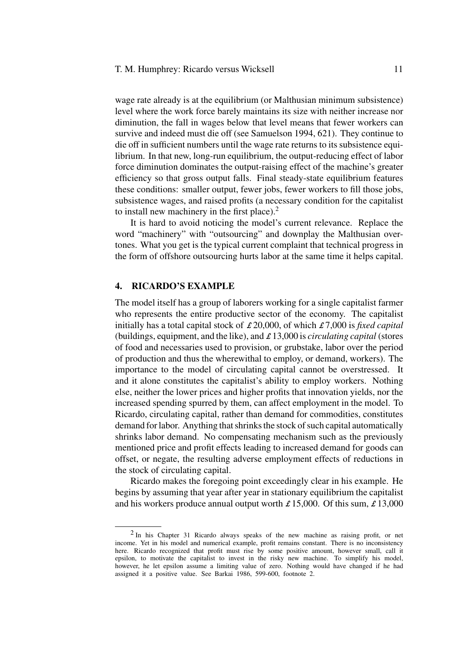wage rate already is at the equilibrium (or Malthusian minimum subsistence) level where the work force barely maintains its size with neither increase nor diminution, the fall in wages below that level means that fewer workers can survive and indeed must die off (see Samuelson 1994, 621). They continue to die off in sufficient numbers until the wage rate returns to its subsistence equilibrium. In that new, long-run equilibrium, the output-reducing effect of labor force diminution dominates the output-raising effect of the machine's greater efficiency so that gross output falls. Final steady-state equilibrium features these conditions: smaller output, fewer jobs, fewer workers to fill those jobs, subsistence wages, and raised profits (a necessary condition for the capitalist to install new machinery in the first place). $2$ 

It is hard to avoid noticing the model's current relevance. Replace the word "machinery" with "outsourcing" and downplay the Malthusian overtones. What you get is the typical current complaint that technical progress in the form of offshore outsourcing hurts labor at the same time it helps capital.

### **4. RICARDO'S EXAMPLE**

The model itself has a group of laborers working for a single capitalist farmer who represents the entire productive sector of the economy. The capitalist initially has a total capital stock of £ 20,000, of which £ 7,000 is *fixed capital* (buildings, equipment, and the like), and £ 13,000 is *circulating capital* (stores of food and necessaries used to provision, or grubstake, labor over the period of production and thus the wherewithal to employ, or demand, workers). The importance to the model of circulating capital cannot be overstressed. It and it alone constitutes the capitalist's ability to employ workers. Nothing else, neither the lower prices and higher profits that innovation yields, nor the increased spending spurred by them, can affect employment in the model. To Ricardo, circulating capital, rather than demand for commodities, constitutes demand for labor. Anything that shrinks the stock of such capital automatically shrinks labor demand. No compensating mechanism such as the previously mentioned price and profit effects leading to increased demand for goods can offset, or negate, the resulting adverse employment effects of reductions in the stock of circulating capital.

Ricardo makes the foregoing point exceedingly clear in his example. He begins by assuming that year after year in stationary equilibrium the capitalist and his workers produce annual output worth  $\pounds$  15,000. Of this sum,  $\pounds$  13,000

<sup>2</sup> In his Chapter 31 Ricardo always speaks of the new machine as raising profit, or net income. Yet in his model and numerical example, profit remains constant. There is no inconsistency here. Ricardo recognized that profit must rise by some positive amount, however small, call it epsilon, to motivate the capitalist to invest in the risky new machine. To simplify his model, however, he let epsilon assume a limiting value of zero. Nothing would have changed if he had assigned it a positive value. See Barkai 1986, 599-600, footnote 2.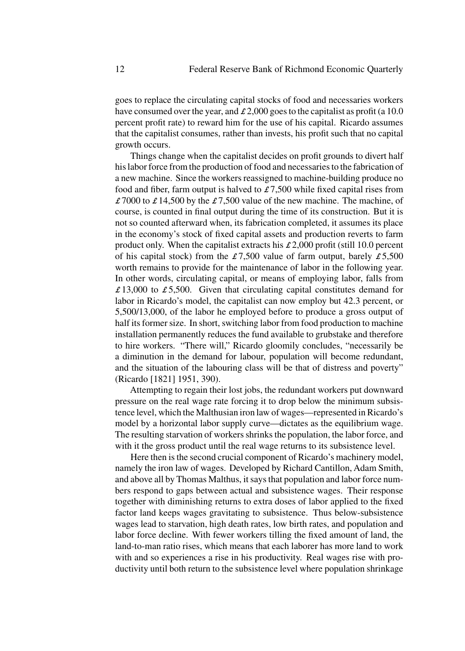goes to replace the circulating capital stocks of food and necessaries workers have consumed over the year, and  $\pounds 2,000$  goes to the capitalist as profit (a 10.0 percent profit rate) to reward him for the use of his capital. Ricardo assumes that the capitalist consumes, rather than invests, his profit such that no capital growth occurs.

Things change when the capitalist decides on profit grounds to divert half his labor force from the production of food and necessaries to the fabrication of a new machine. Since the workers reassigned to machine-building produce no food and fiber, farm output is halved to  $\pounds$  7,500 while fixed capital rises from £7000 to £14,500 by the £7,500 value of the new machine. The machine, of course, is counted in final output during the time of its construction. But it is not so counted afterward when, its fabrication completed, it assumes its place in the economy's stock of fixed capital assets and production reverts to farm product only. When the capitalist extracts his  $\pounds 2,000$  profit (still 10.0 percent of his capital stock) from the  $\pounds 7,500$  value of farm output, barely  $\pounds 5,500$ worth remains to provide for the maintenance of labor in the following year. In other words, circulating capital, or means of employing labor, falls from  $£ 13,000$  to  $£ 5,500$ . Given that circulating capital constitutes demand for labor in Ricardo's model, the capitalist can now employ but 42.3 percent, or 5,500/13,000, of the labor he employed before to produce a gross output of half its former size. In short, switching labor from food production to machine installation permanently reduces the fund available to grubstake and therefore to hire workers. "There will," Ricardo gloomily concludes, "necessarily be a diminution in the demand for labour, population will become redundant, and the situation of the labouring class will be that of distress and poverty" (Ricardo [1821] 1951, 390).

Attempting to regain their lost jobs, the redundant workers put downward pressure on the real wage rate forcing it to drop below the minimum subsistence level, which the Malthusian iron law of wages—represented in Ricardo's model by a horizontal labor supply curve—dictates as the equilibrium wage. The resulting starvation of workers shrinks the population, the labor force, and with it the gross product until the real wage returns to its subsistence level.

Here then is the second crucial component of Ricardo's machinery model, namely the iron law of wages. Developed by Richard Cantillon, Adam Smith, and above all by Thomas Malthus, it says that population and labor force numbers respond to gaps between actual and subsistence wages. Their response together with diminishing returns to extra doses of labor applied to the fixed factor land keeps wages gravitating to subsistence. Thus below-subsistence wages lead to starvation, high death rates, low birth rates, and population and labor force decline. With fewer workers tilling the fixed amount of land, the land-to-man ratio rises, which means that each laborer has more land to work with and so experiences a rise in his productivity. Real wages rise with productivity until both return to the subsistence level where population shrinkage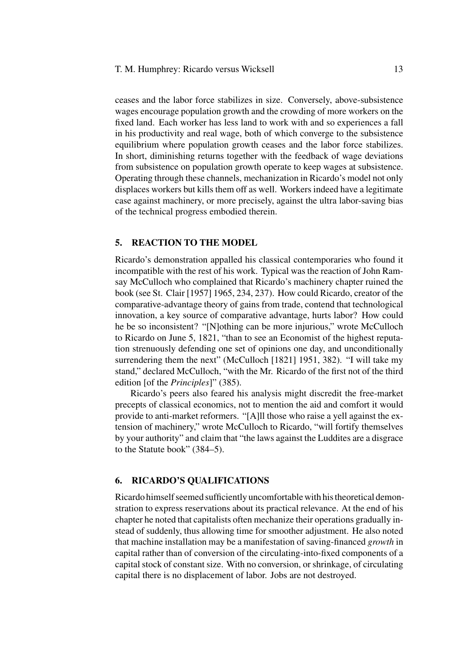ceases and the labor force stabilizes in size. Conversely, above-subsistence wages encourage population growth and the crowding of more workers on the fixed land. Each worker has less land to work with and so experiences a fall in his productivity and real wage, both of which converge to the subsistence equilibrium where population growth ceases and the labor force stabilizes. In short, diminishing returns together with the feedback of wage deviations from subsistence on population growth operate to keep wages at subsistence. Operating through these channels, mechanization in Ricardo's model not only displaces workers but kills them off as well. Workers indeed have a legitimate case against machinery, or more precisely, against the ultra labor-saving bias of the technical progress embodied therein.

#### **5. REACTION TO THE MODEL**

Ricardo's demonstration appalled his classical contemporaries who found it incompatible with the rest of his work. Typical was the reaction of John Ramsay McCulloch who complained that Ricardo's machinery chapter ruined the book (see St. Clair [1957] 1965, 234, 237). How could Ricardo, creator of the comparative-advantage theory of gains from trade, contend that technological innovation, a key source of comparative advantage, hurts labor? How could he be so inconsistent? "[N]othing can be more injurious," wrote McCulloch to Ricardo on June 5, 1821, "than to see an Economist of the highest reputation strenuously defending one set of opinions one day, and unconditionally surrendering them the next" (McCulloch [1821] 1951, 382). "I will take my stand," declared McCulloch, "with the Mr. Ricardo of the first not of the third edition [of the *Principles*]" (385).

Ricardo's peers also feared his analysis might discredit the free-market precepts of classical economics, not to mention the aid and comfort it would provide to anti-market reformers. "[A]ll those who raise a yell against the extension of machinery," wrote McCulloch to Ricardo, "will fortify themselves by your authority" and claim that "the laws against the Luddites are a disgrace to the Statute book" (384–5).

# **6. RICARDO'S QUALIFICATIONS**

Ricardo himself seemed sufficiently uncomfortable with his theoretical demonstration to express reservations about its practical relevance. At the end of his chapter he noted that capitalists often mechanize their operations gradually instead of suddenly, thus allowing time for smoother adjustment. He also noted that machine installation may be a manifestation of saving-financed *growth* in capital rather than of conversion of the circulating-into-fixed components of a capital stock of constant size. With no conversion, or shrinkage, of circulating capital there is no displacement of labor. Jobs are not destroyed.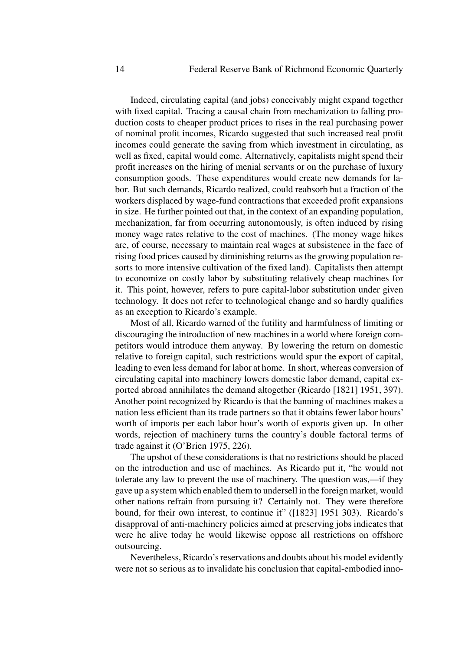Indeed, circulating capital (and jobs) conceivably might expand together with fixed capital. Tracing a causal chain from mechanization to falling production costs to cheaper product prices to rises in the real purchasing power of nominal profit incomes, Ricardo suggested that such increased real profit incomes could generate the saving from which investment in circulating, as well as fixed, capital would come. Alternatively, capitalists might spend their profit increases on the hiring of menial servants or on the purchase of luxury consumption goods. These expenditures would create new demands for labor. But such demands, Ricardo realized, could reabsorb but a fraction of the workers displaced by wage-fund contractions that exceeded profit expansions in size. He further pointed out that, in the context of an expanding population, mechanization, far from occurring autonomously, is often induced by rising money wage rates relative to the cost of machines. (The money wage hikes are, of course, necessary to maintain real wages at subsistence in the face of rising food prices caused by diminishing returns as the growing population resorts to more intensive cultivation of the fixed land). Capitalists then attempt to economize on costly labor by substituting relatively cheap machines for it. This point, however, refers to pure capital-labor substitution under given technology. It does not refer to technological change and so hardly qualifies as an exception to Ricardo's example.

Most of all, Ricardo warned of the futility and harmfulness of limiting or discouraging the introduction of new machines in a world where foreign competitors would introduce them anyway. By lowering the return on domestic relative to foreign capital, such restrictions would spur the export of capital, leading to even less demand for labor at home. In short, whereas conversion of circulating capital into machinery lowers domestic labor demand, capital exported abroad annihilates the demand altogether (Ricardo [1821] 1951, 397). Another point recognized by Ricardo is that the banning of machines makes a nation less efficient than its trade partners so that it obtains fewer labor hours' worth of imports per each labor hour's worth of exports given up. In other words, rejection of machinery turns the country's double factoral terms of trade against it (O'Brien 1975, 226).

The upshot of these considerations is that no restrictions should be placed on the introduction and use of machines. As Ricardo put it, "he would not tolerate any law to prevent the use of machinery. The question was,—if they gave up a system which enabled them to undersell in the foreign market, would other nations refrain from pursuing it? Certainly not. They were therefore bound, for their own interest, to continue it" ([1823] 1951 303). Ricardo's disapproval of anti-machinery policies aimed at preserving jobs indicates that were he alive today he would likewise oppose all restrictions on offshore outsourcing.

Nevertheless, Ricardo's reservations and doubts about his model evidently were not so serious as to invalidate his conclusion that capital-embodied inno-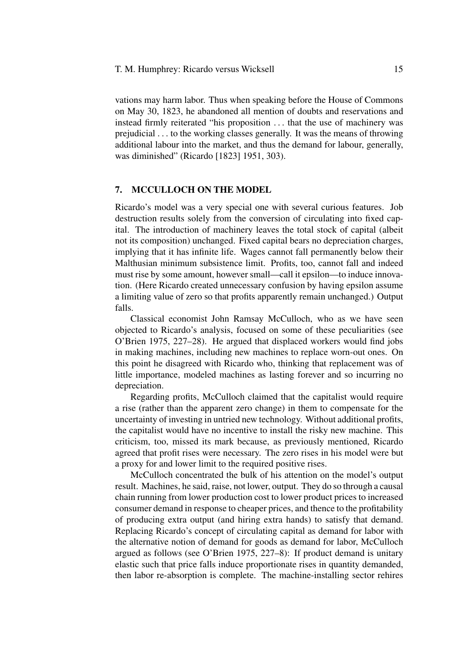#### T. M. Humphrey: Ricardo versus Wicksell 15

vations may harm labor. Thus when speaking before the House of Commons on May 30, 1823, he abandoned all mention of doubts and reservations and instead firmly reiterated "his proposition ... that the use of machinery was prejudicial ... to the working classes generally. It was the means of throwing additional labour into the market, and thus the demand for labour, generally, was diminished" (Ricardo [1823] 1951, 303).

# **7. MCCULLOCH ON THE MODEL**

Ricardo's model was a very special one with several curious features. Job destruction results solely from the conversion of circulating into fixed capital. The introduction of machinery leaves the total stock of capital (albeit not its composition) unchanged. Fixed capital bears no depreciation charges, implying that it has infinite life. Wages cannot fall permanently below their Malthusian minimum subsistence limit. Profits, too, cannot fall and indeed must rise by some amount, however small—call it epsilon—to induce innovation. (Here Ricardo created unnecessary confusion by having epsilon assume a limiting value of zero so that profits apparently remain unchanged.) Output falls.

Classical economist John Ramsay McCulloch, who as we have seen objected to Ricardo's analysis, focused on some of these peculiarities (see O'Brien 1975, 227–28). He argued that displaced workers would find jobs in making machines, including new machines to replace worn-out ones. On this point he disagreed with Ricardo who, thinking that replacement was of little importance, modeled machines as lasting forever and so incurring no depreciation.

Regarding profits, McCulloch claimed that the capitalist would require a rise (rather than the apparent zero change) in them to compensate for the uncertainty of investing in untried new technology. Without additional profits, the capitalist would have no incentive to install the risky new machine. This criticism, too, missed its mark because, as previously mentioned, Ricardo agreed that profit rises were necessary. The zero rises in his model were but a proxy for and lower limit to the required positive rises.

McCulloch concentrated the bulk of his attention on the model's output result. Machines, he said, raise, not lower, output. They do so through a causal chain running from lower production cost to lower product prices to increased consumer demand in response to cheaper prices, and thence to the profitability of producing extra output (and hiring extra hands) to satisfy that demand. Replacing Ricardo's concept of circulating capital as demand for labor with the alternative notion of demand for goods as demand for labor, McCulloch argued as follows (see O'Brien 1975, 227–8): If product demand is unitary elastic such that price falls induce proportionate rises in quantity demanded, then labor re-absorption is complete. The machine-installing sector rehires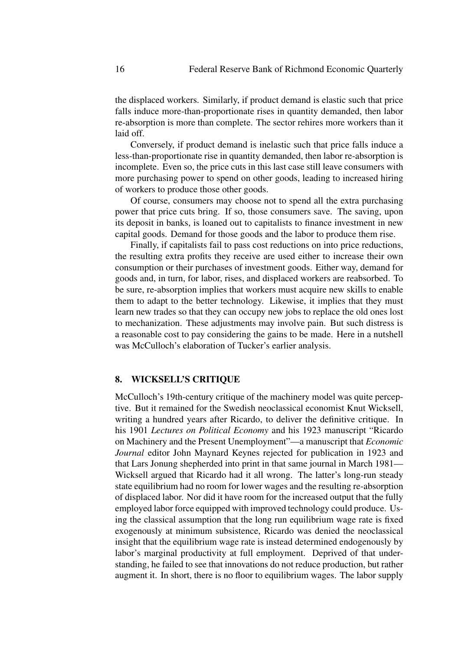the displaced workers. Similarly, if product demand is elastic such that price falls induce more-than-proportionate rises in quantity demanded, then labor re-absorption is more than complete. The sector rehires more workers than it laid off.

Conversely, if product demand is inelastic such that price falls induce a less-than-proportionate rise in quantity demanded, then labor re-absorption is incomplete. Even so, the price cuts in this last case still leave consumers with more purchasing power to spend on other goods, leading to increased hiring of workers to produce those other goods.

Of course, consumers may choose not to spend all the extra purchasing power that price cuts bring. If so, those consumers save. The saving, upon its deposit in banks, is loaned out to capitalists to finance investment in new capital goods. Demand for those goods and the labor to produce them rise.

Finally, if capitalists fail to pass cost reductions on into price reductions, the resulting extra profits they receive are used either to increase their own consumption or their purchases of investment goods. Either way, demand for goods and, in turn, for labor, rises, and displaced workers are reabsorbed. To be sure, re-absorption implies that workers must acquire new skills to enable them to adapt to the better technology. Likewise, it implies that they must learn new trades so that they can occupy new jobs to replace the old ones lost to mechanization. These adjustments may involve pain. But such distress is a reasonable cost to pay considering the gains to be made. Here in a nutshell was McCulloch's elaboration of Tucker's earlier analysis.

# **8. WICKSELL'S CRITIQUE**

McCulloch's 19th-century critique of the machinery model was quite perceptive. But it remained for the Swedish neoclassical economist Knut Wicksell, writing a hundred years after Ricardo, to deliver the definitive critique. In his 1901 *Lectures on Political Economy* and his 1923 manuscript "Ricardo on Machinery and the Present Unemployment"—a manuscript that *Economic Journal* editor John Maynard Keynes rejected for publication in 1923 and that Lars Jonung shepherded into print in that same journal in March 1981— Wicksell argued that Ricardo had it all wrong. The latter's long-run steady state equilibrium had no room for lower wages and the resulting re-absorption of displaced labor. Nor did it have room for the increased output that the fully employed labor force equipped with improved technology could produce. Using the classical assumption that the long run equilibrium wage rate is fixed exogenously at minimum subsistence, Ricardo was denied the neoclassical insight that the equilibrium wage rate is instead determined endogenously by labor's marginal productivity at full employment. Deprived of that understanding, he failed to see that innovations do not reduce production, but rather augment it. In short, there is no floor to equilibrium wages. The labor supply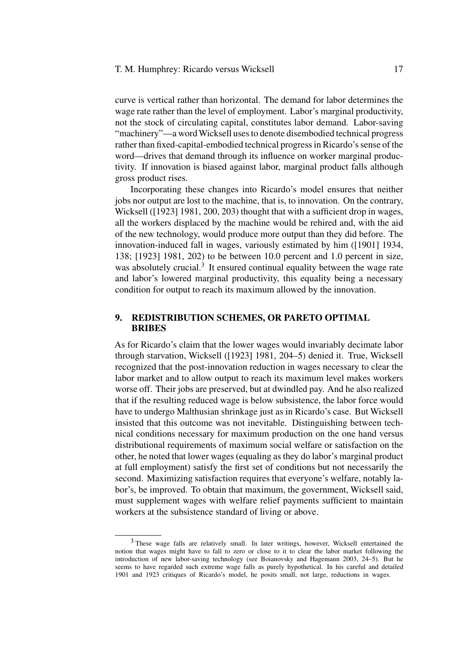curve is vertical rather than horizontal. The demand for labor determines the wage rate rather than the level of employment. Labor's marginal productivity, not the stock of circulating capital, constitutes labor demand. Labor-saving "machinery"—a word Wicksell uses to denote disembodied technical progress rather than fixed-capital-embodied technical progress in Ricardo's sense of the word—drives that demand through its influence on worker marginal productivity. If innovation is biased against labor, marginal product falls although gross product rises.

Incorporating these changes into Ricardo's model ensures that neither jobs nor output are lost to the machine, that is, to innovation. On the contrary, Wicksell ([1923] 1981, 200, 203) thought that with a sufficient drop in wages, all the workers displaced by the machine would be rehired and, with the aid of the new technology, would produce more output than they did before. The innovation-induced fall in wages, variously estimated by him ([1901] 1934, 138; [1923] 1981, 202) to be between 10.0 percent and 1.0 percent in size, was absolutely crucial.<sup>3</sup> It ensured continual equality between the wage rate and labor's lowered marginal productivity, this equality being a necessary condition for output to reach its maximum allowed by the innovation.

# **9. REDISTRIBUTION SCHEMES, OR PARETO OPTIMAL BRIBES**

As for Ricardo's claim that the lower wages would invariably decimate labor through starvation, Wicksell ([1923] 1981, 204–5) denied it. True, Wicksell recognized that the post-innovation reduction in wages necessary to clear the labor market and to allow output to reach its maximum level makes workers worse off. Their jobs are preserved, but at dwindled pay. And he also realized that if the resulting reduced wage is below subsistence, the labor force would have to undergo Malthusian shrinkage just as in Ricardo's case. But Wicksell insisted that this outcome was not inevitable. Distinguishing between technical conditions necessary for maximum production on the one hand versus distributional requirements of maximum social welfare or satisfaction on the other, he noted that lower wages (equaling as they do labor's marginal product at full employment) satisfy the first set of conditions but not necessarily the second. Maximizing satisfaction requires that everyone's welfare, notably labor's, be improved. To obtain that maximum, the government, Wicksell said, must supplement wages with welfare relief payments sufficient to maintain workers at the subsistence standard of living or above.

<sup>3</sup> These wage falls are relatively small. In later writings, however, Wicksell entertained the notion that wages might have to fall to zero or close to it to clear the labor market following the introduction of new labor-saving technology (see Boianovsky and Hagemann 2003, 24–5). But he seems to have regarded such extreme wage falls as purely hypothetical. In his careful and detailed 1901 and 1923 critiques of Ricardo's model, he posits small, not large, reductions in wages.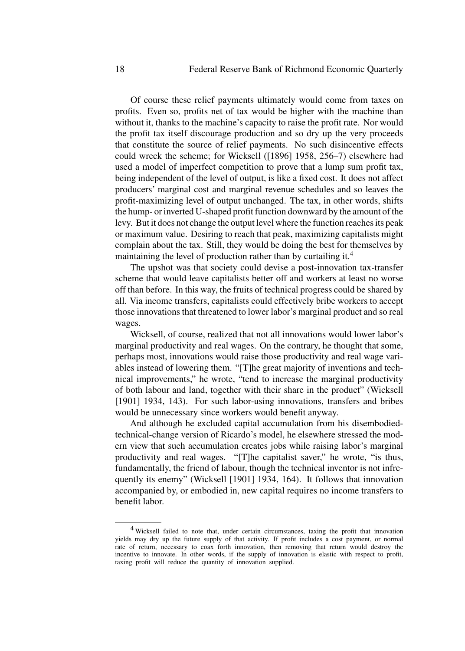Of course these relief payments ultimately would come from taxes on profits. Even so, profits net of tax would be higher with the machine than without it, thanks to the machine's capacity to raise the profit rate. Nor would the profit tax itself discourage production and so dry up the very proceeds that constitute the source of relief payments. No such disincentive effects could wreck the scheme; for Wicksell ([1896] 1958, 256–7) elsewhere had used a model of imperfect competition to prove that a lump sum profit tax, being independent of the level of output, is like a fixed cost. It does not affect producers' marginal cost and marginal revenue schedules and so leaves the profit-maximizing level of output unchanged. The tax, in other words, shifts the hump- or inverted U-shaped profit function downward by the amount of the levy. But it does not change the output level where the function reaches its peak or maximum value. Desiring to reach that peak, maximizing capitalists might complain about the tax. Still, they would be doing the best for themselves by maintaining the level of production rather than by curtailing it.<sup>4</sup>

The upshot was that society could devise a post-innovation tax-transfer scheme that would leave capitalists better off and workers at least no worse off than before. In this way, the fruits of technical progress could be shared by all. Via income transfers, capitalists could effectively bribe workers to accept those innovations that threatened to lower labor's marginal product and so real wages.

Wicksell, of course, realized that not all innovations would lower labor's marginal productivity and real wages. On the contrary, he thought that some, perhaps most, innovations would raise those productivity and real wage variables instead of lowering them. "[T]he great majority of inventions and technical improvements," he wrote, "tend to increase the marginal productivity of both labour and land, together with their share in the product" (Wicksell [1901] 1934, 143). For such labor-using innovations, transfers and bribes would be unnecessary since workers would benefit anyway.

And although he excluded capital accumulation from his disembodiedtechnical-change version of Ricardo's model, he elsewhere stressed the modern view that such accumulation creates jobs while raising labor's marginal productivity and real wages. "[T]he capitalist saver," he wrote, "is thus, fundamentally, the friend of labour, though the technical inventor is not infrequently its enemy" (Wicksell [1901] 1934, 164). It follows that innovation accompanied by, or embodied in, new capital requires no income transfers to benefit labor.

<sup>4</sup> Wicksell failed to note that, under certain circumstances, taxing the profit that innovation yields may dry up the future supply of that activity. If profit includes a cost payment, or normal rate of return, necessary to coax forth innovation, then removing that return would destroy the incentive to innovate. In other words, if the supply of innovation is elastic with respect to profit, taxing profit will reduce the quantity of innovation supplied.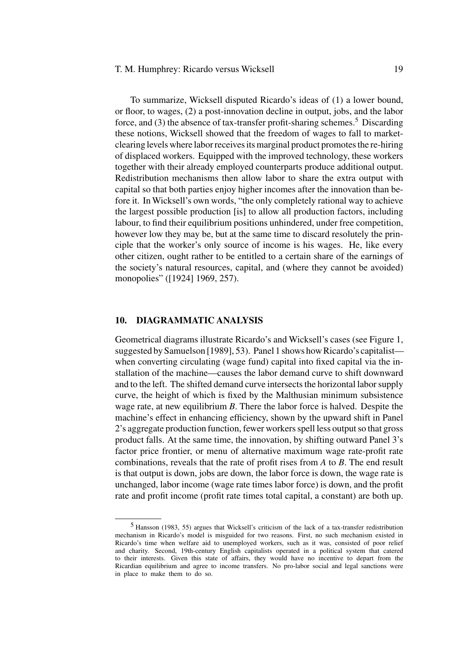#### T. M. Humphrey: Ricardo versus Wicksell 19

To summarize, Wicksell disputed Ricardo's ideas of (1) a lower bound, or floor, to wages, (2) a post-innovation decline in output, jobs, and the labor force, and  $(3)$  the absence of tax-transfer profit-sharing schemes.<sup>5</sup> Discarding these notions, Wicksell showed that the freedom of wages to fall to marketclearing levels where labor receives its marginal product promotes the re-hiring of displaced workers. Equipped with the improved technology, these workers together with their already employed counterparts produce additional output. Redistribution mechanisms then allow labor to share the extra output with capital so that both parties enjoy higher incomes after the innovation than before it. In Wicksell's own words, "the only completely rational way to achieve the largest possible production [is] to allow all production factors, including labour, to find their equilibrium positions unhindered, under free competition, however low they may be, but at the same time to discard resolutely the principle that the worker's only source of income is his wages. He, like every other citizen, ought rather to be entitled to a certain share of the earnings of the society's natural resources, capital, and (where they cannot be avoided) monopolies" ([1924] 1969, 257).

# **10. DIAGRAMMATIC ANALYSIS**

Geometrical diagrams illustrate Ricardo's and Wicksell's cases (see Figure 1, suggested by Samuelson [1989], 53). Panel 1 shows how Ricardo's capitalist when converting circulating (wage fund) capital into fixed capital via the installation of the machine—causes the labor demand curve to shift downward and to the left. The shifted demand curve intersects the horizontal labor supply curve, the height of which is fixed by the Malthusian minimum subsistence wage rate, at new equilibrium *B*. There the labor force is halved. Despite the machine's effect in enhancing efficiency, shown by the upward shift in Panel 2's aggregate production function, fewer workers spell less output so that gross product falls. At the same time, the innovation, by shifting outward Panel 3's factor price frontier, or menu of alternative maximum wage rate-profit rate combinations, reveals that the rate of profit rises from *A* to *B*. The end result is that output is down, jobs are down, the labor force is down, the wage rate is unchanged, labor income (wage rate times labor force) is down, and the profit rate and profit income (profit rate times total capital, a constant) are both up.

<sup>5</sup> Hansson (1983, 55) argues that Wicksell's criticism of the lack of a tax-transfer redistribution mechanism in Ricardo's model is misguided for two reasons. First, no such mechanism existed in Ricardo's time when welfare aid to unemployed workers, such as it was, consisted of poor relief and charity. Second, 19th-century English capitalists operated in a political system that catered to their interests. Given this state of affairs, they would have no incentive to depart from the Ricardian equilibrium and agree to income transfers. No pro-labor social and legal sanctions were in place to make them to do so.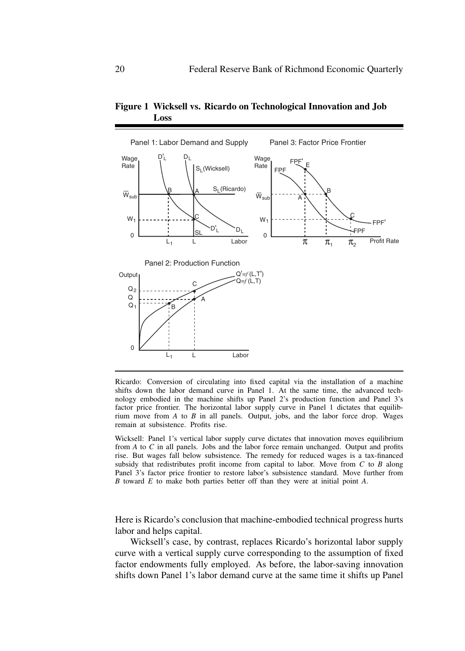

**Figure 1 Wicksell vs. Ricardo on Technological Innovation and Job Loss**

Ricardo: Conversion of circulating into fixed capital via the installation of a machine shifts down the labor demand curve in Panel 1. At the same time, the advanced technology embodied in the machine shifts up Panel 2's production function and Panel 3's factor price frontier. The horizontal labor supply curve in Panel 1 dictates that equilibrium move from  $A$  to  $B$  in all panels. Output, jobs, and the labor force drop. Wages remain at subsistence. Profits rise.

Wicksell: Panel 1's vertical labor supply curve dictates that innovation moves equilibrium from *A* to *C* in all panels. Jobs and the labor force remain unchanged. Output and profits rise. But wages fall below subsistence. The remedy for reduced wages is a tax-financed subsidy that redistributes profit income from capital to labor. Move from *C* to *B* along Panel 3's factor price frontier to restore labor's subsistence standard. Move further from *B* toward *E* to make both parties better off than they were at initial point *A*.

Here is Ricardo's conclusion that machine-embodied technical progress hurts labor and helps capital.

Wicksell's case, by contrast, replaces Ricardo's horizontal labor supply curve with a vertical supply curve corresponding to the assumption of fixed factor endowments fully employed. As before, the labor-saving innovation shifts down Panel 1's labor demand curve at the same time it shifts up Panel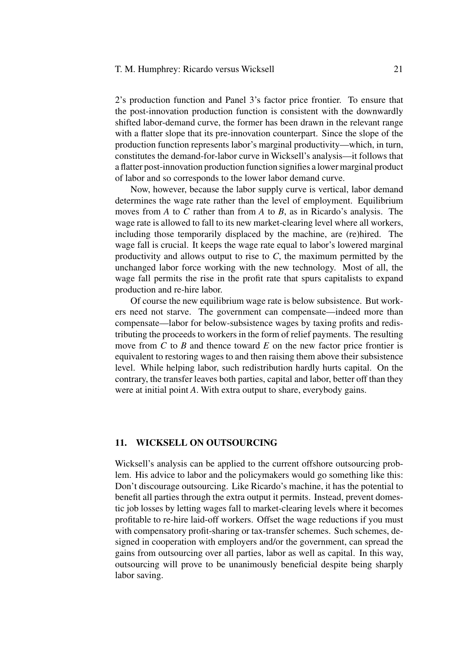2's production function and Panel 3's factor price frontier. To ensure that the post-innovation production function is consistent with the downwardly shifted labor-demand curve, the former has been drawn in the relevant range with a flatter slope that its pre-innovation counterpart. Since the slope of the production function represents labor's marginal productivity—which, in turn, constitutes the demand-for-labor curve in Wicksell's analysis—it follows that a flatter post-innovation production function signifies a lower marginal product of labor and so corresponds to the lower labor demand curve.

Now, however, because the labor supply curve is vertical, labor demand determines the wage rate rather than the level of employment. Equilibrium moves from *A* to *C* rather than from *A* to *B*, as in Ricardo's analysis. The wage rate is allowed to fall to its new market-clearing level where all workers, including those temporarily displaced by the machine, are (re)hired. The wage fall is crucial. It keeps the wage rate equal to labor's lowered marginal productivity and allows output to rise to *C*, the maximum permitted by the unchanged labor force working with the new technology. Most of all, the wage fall permits the rise in the profit rate that spurs capitalists to expand production and re-hire labor.

Of course the new equilibrium wage rate is below subsistence. But workers need not starve. The government can compensate—indeed more than compensate—labor for below-subsistence wages by taxing profits and redistributing the proceeds to workers in the form of relief payments. The resulting move from *C* to *B* and thence toward *E* on the new factor price frontier is equivalent to restoring wages to and then raising them above their subsistence level. While helping labor, such redistribution hardly hurts capital. On the contrary, the transfer leaves both parties, capital and labor, better off than they were at initial point *A*. With extra output to share, everybody gains.

# **11. WICKSELL ON OUTSOURCING**

Wicksell's analysis can be applied to the current offshore outsourcing problem. His advice to labor and the policymakers would go something like this: Don't discourage outsourcing. Like Ricardo's machine, it has the potential to benefit all parties through the extra output it permits. Instead, prevent domestic job losses by letting wages fall to market-clearing levels where it becomes profitable to re-hire laid-off workers. Offset the wage reductions if you must with compensatory profit-sharing or tax-transfer schemes. Such schemes, designed in cooperation with employers and/or the government, can spread the gains from outsourcing over all parties, labor as well as capital. In this way, outsourcing will prove to be unanimously beneficial despite being sharply labor saving.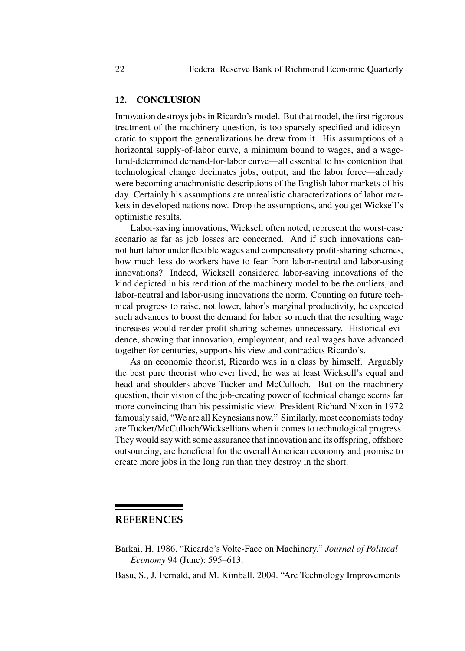#### **12. CONCLUSION**

Innovation destroys jobs in Ricardo's model. But that model, the first rigorous treatment of the machinery question, is too sparsely specified and idiosyncratic to support the generalizations he drew from it. His assumptions of a horizontal supply-of-labor curve, a minimum bound to wages, and a wagefund-determined demand-for-labor curve—all essential to his contention that technological change decimates jobs, output, and the labor force—already were becoming anachronistic descriptions of the English labor markets of his day. Certainly his assumptions are unrealistic characterizations of labor markets in developed nations now. Drop the assumptions, and you get Wicksell's optimistic results.

Labor-saving innovations, Wicksell often noted, represent the worst-case scenario as far as job losses are concerned. And if such innovations cannot hurt labor under flexible wages and compensatory profit-sharing schemes, how much less do workers have to fear from labor-neutral and labor-using innovations? Indeed, Wicksell considered labor-saving innovations of the kind depicted in his rendition of the machinery model to be the outliers, and labor-neutral and labor-using innovations the norm. Counting on future technical progress to raise, not lower, labor's marginal productivity, he expected such advances to boost the demand for labor so much that the resulting wage increases would render profit-sharing schemes unnecessary. Historical evidence, showing that innovation, employment, and real wages have advanced together for centuries, supports his view and contradicts Ricardo's.

As an economic theorist, Ricardo was in a class by himself. Arguably the best pure theorist who ever lived, he was at least Wicksell's equal and head and shoulders above Tucker and McCulloch. But on the machinery question, their vision of the job-creating power of technical change seems far more convincing than his pessimistic view. President Richard Nixon in 1972 famously said, "We are all Keynesians now." Similarly, most economists today are Tucker/McCulloch/Wicksellians when it comes to technological progress. They would say with some assurance that innovation and its offspring, offshore outsourcing, are beneficial for the overall American economy and promise to create more jobs in the long run than they destroy in the short.

# **REFERENCES**

Barkai, H. 1986. "Ricardo's Volte-Face on Machinery." *Journal of Political Economy* 94 (June): 595–613.

Basu, S., J. Fernald, and M. Kimball. 2004. "Are Technology Improvements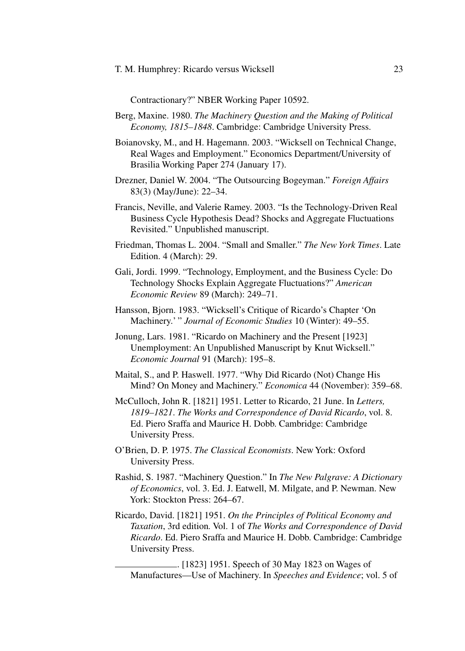Contractionary?" NBER Working Paper 10592.

- Berg, Maxine. 1980. *The Machinery Question and the Making of Political Economy, 1815–1848*. Cambridge: Cambridge University Press.
- Boianovsky, M., and H. Hagemann. 2003. "Wicksell on Technical Change, Real Wages and Employment." Economics Department/University of Brasilia Working Paper 274 (January 17).
- Drezner, Daniel W. 2004. "The Outsourcing Bogeyman." *Foreign Affairs* 83(3) (May/June): 22–34.
- Francis, Neville, and Valerie Ramey. 2003. "Is the Technology-Driven Real Business Cycle Hypothesis Dead? Shocks and Aggregate Fluctuations Revisited." Unpublished manuscript.
- Friedman, Thomas L. 2004. "Small and Smaller." *The New York Times*. Late Edition. 4 (March): 29.
- Gali, Jordi. 1999. "Technology, Employment, and the Business Cycle: Do Technology Shocks Explain Aggregate Fluctuations?" *American Economic Review* 89 (March): 249–71.
- Hansson, Bjorn. 1983. "Wicksell's Critique of Ricardo's Chapter 'On Machinery.' " *Journal of Economic Studies* 10 (Winter): 49–55.
- Jonung, Lars. 1981. "Ricardo on Machinery and the Present [1923] Unemployment: An Unpublished Manuscript by Knut Wicksell." *Economic Journal* 91 (March): 195–8.
- Maital, S., and P. Haswell. 1977. "Why Did Ricardo (Not) Change His Mind? On Money and Machinery." *Economica* 44 (November): 359–68.
- McCulloch, John R. [1821] 1951. Letter to Ricardo, 21 June. In *Letters, 1819–1821*. *The Works and Correspondence of David Ricardo*, vol. 8. Ed. Piero Sraffa and Maurice H. Dobb. Cambridge: Cambridge University Press.
- O'Brien, D. P. 1975. *The Classical Economists*. New York: Oxford University Press.
- Rashid, S. 1987. "Machinery Question." In *The New Palgrave: A Dictionary of Economics*, vol. 3. Ed. J. Eatwell, M. Milgate, and P. Newman. New York: Stockton Press: 264–67.
- Ricardo, David. [1821] 1951. *On the Principles of Political Economy and Taxation*, 3rd edition*.* Vol. 1 of *The Works and Correspondence of David Ricardo*. Ed. Piero Sraffa and Maurice H. Dobb. Cambridge: Cambridge University Press.

. [1823] 1951. Speech of 30 May 1823 on Wages of Manufactures—Use of Machinery. In *Speeches and Evidence*; vol. 5 of